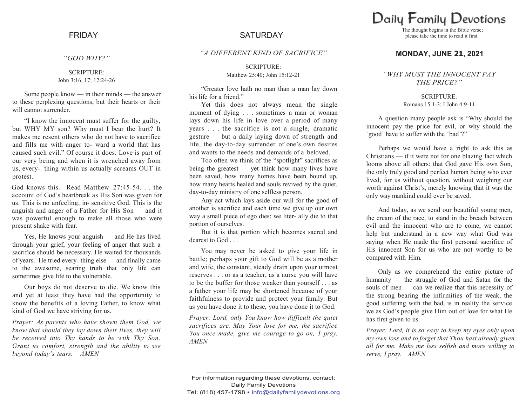*"GOD WHY?"*

SCRIPTURE: John 3:16, 17; 12:24-26

Some people know — in their minds — the answer to these perplexing questions, but their hearts or their will cannot surrender.

"I know the innocent must suffer for the guilty, but WHY MY son? Why must I bear the hurt? It makes me resent others who do not have to sacrifice and fills me with anger to- ward a world that has caused such evil." Of course it does. Love is part of our very being and when it is wrenched away from us, every- thing within us actually screams OUT in protest.

God knows this. Read Matthew 27:45-54. . . the account of God"s heartbreak as His Son was given for us. This is no unfeeling, in- sensitive God. This is the anguish and anger of a Father for His Son — and it was powerful enough to make all those who were present shake with fear.

Yes, He knows your anguish — and He has lived through your grief, your feeling of anger that such a sacrifice should be necessary. He waited for thousands of years. He tried every- thing else — and finally came to the awesome, searing truth that only life can sometimes give life to the vulnerable.

Our boys do not deserve to die. We know this and yet at least they have had the opportunity to know the benefits of a loving Father, to know what kind of God we have striving for us.

*Prayer: As parents who have shown them God, we know that should they lay down their lives, they will be received into Thy hands to be with Thy Son. Grant us comfort, strength and the ability to see beyond today's tears. AMEN*

# FRIDAY SATURDAY

*"A DIFFERENT KIND OF SACRIFICE"*

SCRIPTURE: Matthew 25:40; John 15:12-21

"Greater love hath no man than a man lay down his life for a friend."

Yet this does not always mean the single moment of dying . . . sometimes a man or woman lays down his life in love over a period of many years . . . the sacrifice is not a single, dramatic gesture — but a daily laying down of strength and life, the day-to-day surrender of one's own desires and wants to the needs and demands of a beloved.

Too often we think of the "spotlight" sacrifices as being the greatest — yet think how many lives have been saved, how many homes have been bound up, how many hearts healed and souls revived by the quiet, day-to-day ministry of one selfless person.

Any act which lays aside our will for the good of another is sacrifice and each time we give up our own way a small piece of ego dies; we liter- ally die to that portion of ourselves.

But it is that portion which becomes sacred and dearest to God . . .

You may never be asked to give your life in battle; perhaps your gift to God will be as a mother and wife, the constant, steady drain upon your utmost reserves . . . or as a teacher, as a nurse you will have to be the buffer for those weaker than yourself . . . as a father your life may be shortened because of your faithfulness to provide and protect your family. But as you have done it to these, you have done it to God.

*Prayer: Lord, only You know how difficult the quiet sacrifices are. May Your love for me, the sacrifice You once made, give me courage to go on, I pray. AMEN*

Daily Family Devotions

The thought begins in the Bible verse; please take the time to read it first.

### **MONDAY, JUNE 21, 2021**

#### *"WHY MUST THE INNOCENT PAY THE PRICE?"*

SCRIPTURE: Romans 15:1-3; I John 4:9-11

A question many people ask is "Why should the innocent pay the price for evil, or why should the 'good' have to suffer with the 'bad'?"

Perhaps we would have a right to ask this as Christians — if it were not for one blazing fact which looms above all others: that God gave His own Son, the only truly good and perfect human being who ever lived, for us without question, without weighing our worth against Christ's, merely knowing that it was the only way mankind could ever be saved.

And today, as we send our beautiful young men, the cream of the race, to stand in the breach between evil and the innocent who are to come, we cannot help but understand in a new way what God was saying when He made the first personal sacrifice of His innocent Son for us who are not worthy to be compared with Him.

Only as we comprehend the entire picture of humanity — the struggle of God and Satan for the souls of men — can we realize that this necessity of the strong bearing the infirmities of the weak, the good suffering with the bad, is in reality the service we as God"s people give Him out of love for what He has first given to us.

*Prayer: Lord, it is so easy to keep my eyes only upon my own loss and to forget that Thou hast already given all for me. Make me less selfish and more willing to serve, I pray. AMEN*

**\_\_\_\_\_\_\_\_\_\_\_\_\_\_\_\_\_\_\_\_\_\_\_\_\_\_\_\_\_\_\_\_\_\_\_\_\_\_\_\_\_\_\_\_**